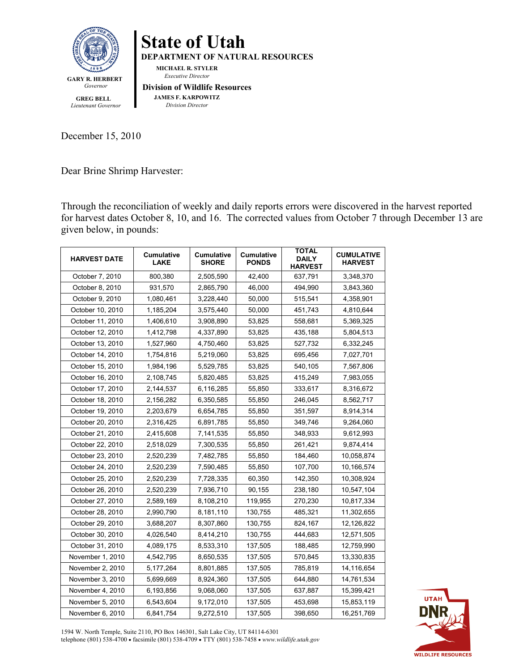

 **GREG BELL** *Lieutenant Governor* **State of Utah DEPARTMENT OF NATURAL RESOURCES MICHAEL R. STYLER** *Executive Director* **Division of Wildlife Resources JAMES F. KARPOWITZ**  *Division Director*

December 15, 2010

Dear Brine Shrimp Harvester:

Through the reconciliation of weekly and daily reports errors were discovered in the harvest reported for harvest dates October 8, 10, and 16. The corrected values from October 7 through December 13 are given below, in pounds:

| <b>HARVEST DATE</b> | Cumulative<br><b>LAKE</b> | <b>Cumulative</b><br><b>SHORE</b> | Cumulative<br><b>PONDS</b> | <b>TOTAL</b><br><b>DAILY</b><br><b>HARVEST</b> | <b>CUMULATIVE</b><br><b>HARVEST</b> |
|---------------------|---------------------------|-----------------------------------|----------------------------|------------------------------------------------|-------------------------------------|
| October 7, 2010     | 800,380                   | 2,505,590                         | 42,400                     | 637,791                                        | 3,348,370                           |
| October 8, 2010     | 931,570                   | 2,865,790                         | 46,000                     | 494,990                                        | 3,843,360                           |
| October 9, 2010     | 1,080,461                 | 3,228,440                         | 50,000                     | 515,541                                        | 4,358,901                           |
| October 10, 2010    | 1,185,204                 | 3,575,440                         | 50,000                     | 451,743                                        | 4,810,644                           |
| October 11, 2010    | 1,406,610                 | 3,908,890                         | 53,825                     | 558,681                                        | 5,369,325                           |
| October 12, 2010    | 1,412,798                 | 4,337,890                         | 53,825                     | 435,188                                        | 5,804,513                           |
| October 13, 2010    | 1,527,960                 | 4,750,460                         | 53,825                     | 527,732                                        | 6,332,245                           |
| October 14, 2010    | 1,754,816                 | 5,219,060                         | 53,825                     | 695,456                                        | 7,027,701                           |
| October 15, 2010    | 1,984,196                 | 5,529,785                         | 53,825                     | 540,105                                        | 7,567,806                           |
| October 16, 2010    | 2,108,745                 | 5,820,485                         | 53,825                     | 415,249                                        | 7,983,055                           |
| October 17, 2010    | 2,144,537                 | 6,116,285                         | 55,850                     | 333,617                                        | 8,316,672                           |
| October 18, 2010    | 2,156,282                 | 6,350,585                         | 55,850                     | 246,045                                        | 8,562,717                           |
| October 19, 2010    | 2,203,679                 | 6,654,785                         | 55,850                     | 351,597                                        | 8,914,314                           |
| October 20, 2010    | 2,316,425                 | 6,891,785                         | 55,850                     | 349,746                                        | 9,264,060                           |
| October 21, 2010    | 2,415,608                 | 7,141,535                         | 55,850                     | 348,933                                        | 9,612,993                           |
| October 22, 2010    | 2,518,029                 | 7,300,535                         | 55,850                     | 261,421                                        | 9,874,414                           |
| October 23, 2010    | 2,520,239                 | 7,482,785                         | 55,850                     | 184,460                                        | 10,058,874                          |
| October 24, 2010    | 2,520,239                 | 7,590,485                         | 55,850                     | 107,700                                        | 10,166,574                          |
| October 25, 2010    | 2,520,239                 | 7,728,335                         | 60,350                     | 142,350                                        | 10,308,924                          |
| October 26, 2010    | 2,520,239                 | 7,936,710                         | 90,155                     | 238,180                                        | 10,547,104                          |
| October 27, 2010    | 2,589,169                 | 8,108,210                         | 119,955                    | 270,230                                        | 10,817,334                          |
| October 28, 2010    | 2,990,790                 | 8,181,110                         | 130,755                    | 485,321                                        | 11,302,655                          |
| October 29, 2010    | 3,688,207                 | 8,307,860                         | 130,755                    | 824,167                                        | 12,126,822                          |
| October 30, 2010    | 4,026,540                 | 8,414,210                         | 130,755                    | 444,683                                        | 12,571,505                          |
| October 31, 2010    | 4,089,175                 | 8,533,310                         | 137,505                    | 188,485                                        | 12,759,990                          |
| November 1, 2010    | 4,542,795                 | 8,650,535                         | 137,505                    | 570,845                                        | 13,330,835                          |
| November 2, 2010    | 5,177,264                 | 8,801,885                         | 137,505                    | 785,819                                        | 14,116,654                          |
| November 3, 2010    | 5,699,669                 | 8,924,360                         | 137,505                    | 644,880                                        | 14,761,534                          |
| November 4, 2010    | 6,193,856                 | 9,068,060                         | 137,505                    | 637,887                                        | 15,399,421                          |
| November 5, 2010    | 6,543,604                 | 9,172,010                         | 137,505                    | 453,698                                        | 15,853,119                          |
| November 6, 2010    | 6,841,754                 | 9,272,510                         | 137,505                    | 398,650                                        | 16,251,769                          |